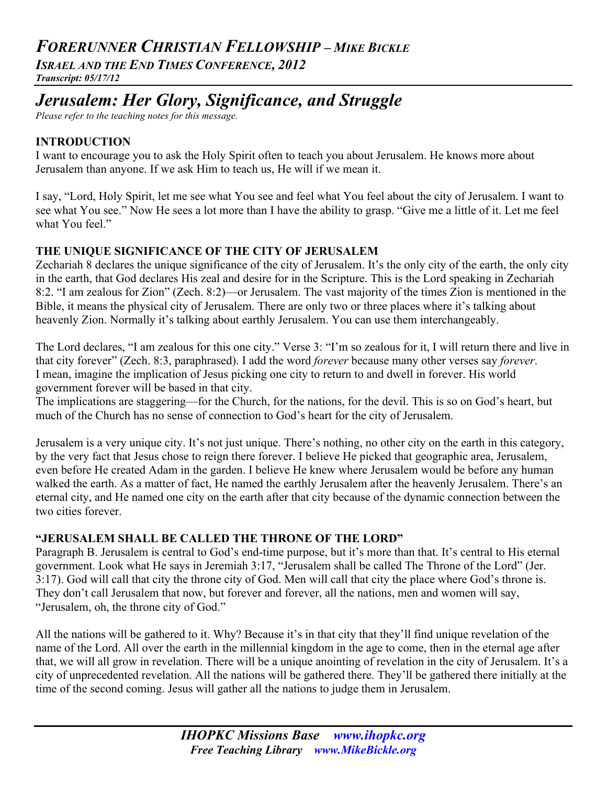# *FORERUNNER CHRISTIAN FELLOWSHIP – MIKE BICKLE*

*ISRAEL AND THE END TIMES CONFERENCE, 2012*

*Transcript: 05/17/12*

# *Jerusalem: Her Glory, Significance, and Struggle*

*Please refer to the teaching notes for this message.*

# **INTRODUCTION**

I want to encourage you to ask the Holy Spirit often to teach you about Jerusalem. He knows more about Jerusalem than anyone. If we ask Him to teach us, He will if we mean it.

I say, "Lord, Holy Spirit, let me see what You see and feel what You feel about the city of Jerusalem. I want to see what You see." Now He sees a lot more than I have the ability to grasp. "Give me a little of it. Let me feel what You feel."

# **THE UNIQUE SIGNIFICANCE OF THE CITY OF JERUSALEM**

Zechariah 8 declares the unique significance of the city of Jerusalem. It's the only city of the earth, the only city in the earth, that God declares His zeal and desire for in the Scripture. This is the Lord speaking in Zechariah 8:2. "I am zealous for Zion" (Zech. 8:2)—or Jerusalem. The vast majority of the times Zion is mentioned in the Bible, it means the physical city of Jerusalem. There are only two or three places where it's talking about heavenly Zion. Normally it's talking about earthly Jerusalem. You can use them interchangeably.

The Lord declares, "I am zealous for this one city." Verse 3: "I'm so zealous for it, I will return there and live in that city forever" (Zech. 8:3, paraphrased). I add the word *forever* because many other verses say *forever*. I mean, imagine the implication of Jesus picking one city to return to and dwell in forever. His world government forever will be based in that city.

The implications are staggering—for the Church, for the nations, for the devil. This is so on God's heart, but much of the Church has no sense of connection to God's heart for the city of Jerusalem.

Jerusalem is a very unique city. It's not just unique. There's nothing, no other city on the earth in this category, by the very fact that Jesus chose to reign there forever. I believe He picked that geographic area, Jerusalem, even before He created Adam in the garden. I believe He knew where Jerusalem would be before any human walked the earth. As a matter of fact, He named the earthly Jerusalem after the heavenly Jerusalem. There's an eternal city, and He named one city on the earth after that city because of the dynamic connection between the two cities forever.

# **"JERUSALEM SHALL BE CALLED THE THRONE OF THE LORD"**

Paragraph B. Jerusalem is central to God's end-time purpose, but it's more than that. It's central to His eternal government. Look what He says in Jeremiah 3:17, "Jerusalem shall be called The Throne of the Lord" (Jer. 3:17). God will call that city the throne city of God. Men will call that city the place where God's throne is. They don't call Jerusalem that now, but forever and forever, all the nations, men and women will say, "Jerusalem, oh, the throne city of God."

All the nations will be gathered to it. Why? Because it's in that city that they'll find unique revelation of the name of the Lord. All over the earth in the millennial kingdom in the age to come, then in the eternal age after that, we will all grow in revelation. There will be a unique anointing of revelation in the city of Jerusalem. It's a city of unprecedented revelation. All the nations will be gathered there. They'll be gathered there initially at the time of the second coming. Jesus will gather all the nations to judge them in Jerusalem.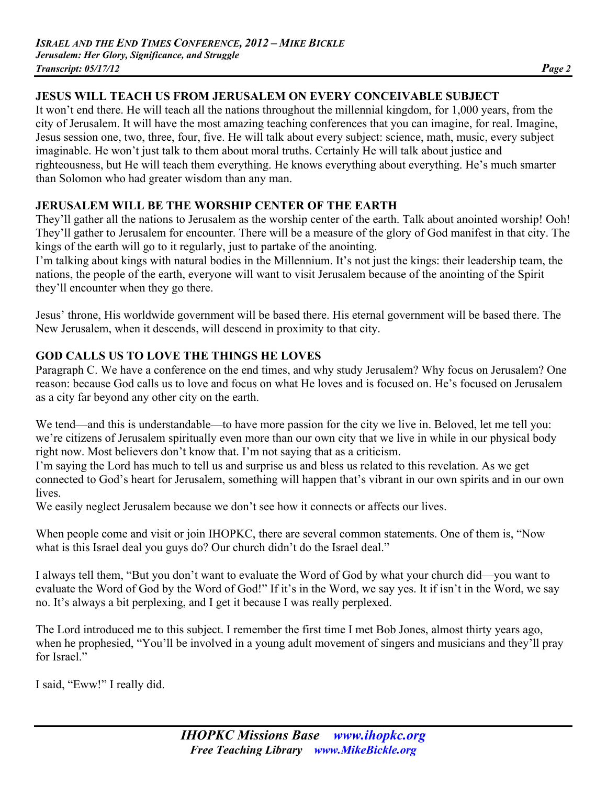# **JESUS WILL TEACH US FROM JERUSALEM ON EVERY CONCEIVABLE SUBJECT**

It won't end there. He will teach all the nations throughout the millennial kingdom, for 1,000 years, from the city of Jerusalem. It will have the most amazing teaching conferences that you can imagine, for real. Imagine, Jesus session one, two, three, four, five. He will talk about every subject: science, math, music, every subject imaginable. He won't just talk to them about moral truths. Certainly He will talk about justice and righteousness, but He will teach them everything. He knows everything about everything. He's much smarter than Solomon who had greater wisdom than any man.

# **JERUSALEM WILL BE THE WORSHIP CENTER OF THE EARTH**

They'll gather all the nations to Jerusalem as the worship center of the earth. Talk about anointed worship! Ooh! They'll gather to Jerusalem for encounter. There will be a measure of the glory of God manifest in that city. The kings of the earth will go to it regularly, just to partake of the anointing.

I'm talking about kings with natural bodies in the Millennium. It's not just the kings: their leadership team, the nations, the people of the earth, everyone will want to visit Jerusalem because of the anointing of the Spirit they'll encounter when they go there.

Jesus' throne, His worldwide government will be based there. His eternal government will be based there. The New Jerusalem, when it descends, will descend in proximity to that city.

# **GOD CALLS US TO LOVE THE THINGS HE LOVES**

Paragraph C. We have a conference on the end times, and why study Jerusalem? Why focus on Jerusalem? One reason: because God calls us to love and focus on what He loves and is focused on. He's focused on Jerusalem as a city far beyond any other city on the earth.

We tend—and this is understandable—to have more passion for the city we live in. Beloved, let me tell you: we're citizens of Jerusalem spiritually even more than our own city that we live in while in our physical body right now. Most believers don't know that. I'm not saying that as a criticism.

I'm saying the Lord has much to tell us and surprise us and bless us related to this revelation. As we get connected to God's heart for Jerusalem, something will happen that's vibrant in our own spirits and in our own **lives** 

We easily neglect Jerusalem because we don't see how it connects or affects our lives.

When people come and visit or join IHOPKC, there are several common statements. One of them is, "Now what is this Israel deal you guys do? Our church didn't do the Israel deal."

I always tell them, "But you don't want to evaluate the Word of God by what your church did—you want to evaluate the Word of God by the Word of God!" If it's in the Word, we say yes. It if isn't in the Word, we say no. It's always a bit perplexing, and I get it because I was really perplexed.

The Lord introduced me to this subject. I remember the first time I met Bob Jones, almost thirty years ago, when he prophesied, "You'll be involved in a young adult movement of singers and musicians and they'll pray for Israel."

I said, "Eww!" I really did.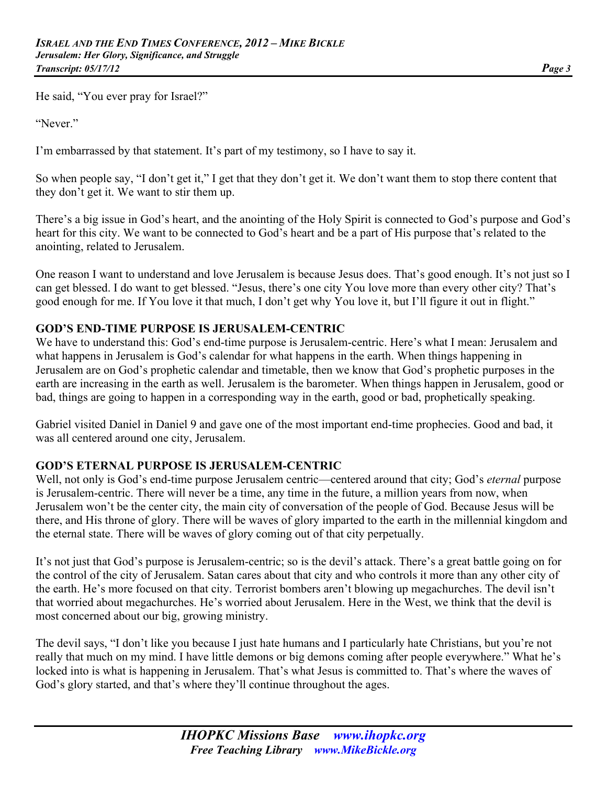He said, "You ever pray for Israel?"

"Never."

I'm embarrassed by that statement. It's part of my testimony, so I have to say it.

So when people say, "I don't get it," I get that they don't get it. We don't want them to stop there content that they don't get it. We want to stir them up.

There's a big issue in God's heart, and the anointing of the Holy Spirit is connected to God's purpose and God's heart for this city. We want to be connected to God's heart and be a part of His purpose that's related to the anointing, related to Jerusalem.

One reason I want to understand and love Jerusalem is because Jesus does. That's good enough. It's not just so I can get blessed. I do want to get blessed. "Jesus, there's one city You love more than every other city? That's good enough for me. If You love it that much, I don't get why You love it, but I'll figure it out in flight."

# **GOD'S END-TIME PURPOSE IS JERUSALEM-CENTRIC**

We have to understand this: God's end-time purpose is Jerusalem-centric. Here's what I mean: Jerusalem and what happens in Jerusalem is God's calendar for what happens in the earth. When things happening in Jerusalem are on God's prophetic calendar and timetable, then we know that God's prophetic purposes in the earth are increasing in the earth as well. Jerusalem is the barometer. When things happen in Jerusalem, good or bad, things are going to happen in a corresponding way in the earth, good or bad, prophetically speaking.

Gabriel visited Daniel in Daniel 9 and gave one of the most important end-time prophecies. Good and bad, it was all centered around one city, Jerusalem.

# **GOD'S ETERNAL PURPOSE IS JERUSALEM-CENTRIC**

Well, not only is God's end-time purpose Jerusalem centric—centered around that city; God's *eternal* purpose is Jerusalem-centric. There will never be a time, any time in the future, a million years from now, when Jerusalem won't be the center city, the main city of conversation of the people of God. Because Jesus will be there, and His throne of glory. There will be waves of glory imparted to the earth in the millennial kingdom and the eternal state. There will be waves of glory coming out of that city perpetually.

It's not just that God's purpose is Jerusalem-centric; so is the devil's attack. There's a great battle going on for the control of the city of Jerusalem. Satan cares about that city and who controls it more than any other city of the earth. He's more focused on that city. Terrorist bombers aren't blowing up megachurches. The devil isn't that worried about megachurches. He's worried about Jerusalem. Here in the West, we think that the devil is most concerned about our big, growing ministry.

The devil says, "I don't like you because I just hate humans and I particularly hate Christians, but you're not really that much on my mind. I have little demons or big demons coming after people everywhere." What he's locked into is what is happening in Jerusalem. That's what Jesus is committed to. That's where the waves of God's glory started, and that's where they'll continue throughout the ages.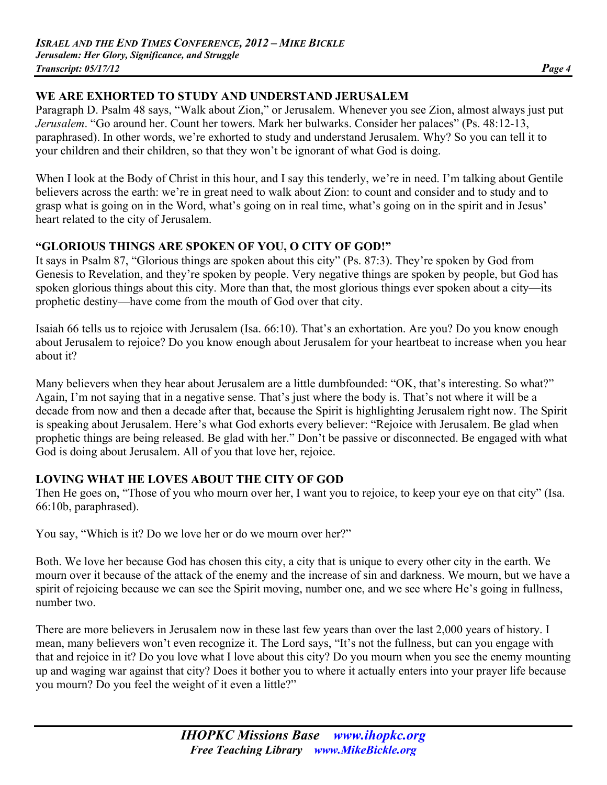# **WE ARE EXHORTED TO STUDY AND UNDERSTAND JERUSALEM**

Paragraph D. Psalm 48 says, "Walk about Zion," or Jerusalem. Whenever you see Zion, almost always just put *Jerusalem*. "Go around her. Count her towers. Mark her bulwarks. Consider her palaces" (Ps. 48:12-13, paraphrased). In other words, we're exhorted to study and understand Jerusalem. Why? So you can tell it to your children and their children, so that they won't be ignorant of what God is doing.

When I look at the Body of Christ in this hour, and I say this tenderly, we're in need. I'm talking about Gentile believers across the earth: we're in great need to walk about Zion: to count and consider and to study and to grasp what is going on in the Word, what's going on in real time, what's going on in the spirit and in Jesus' heart related to the city of Jerusalem.

# **"GLORIOUS THINGS ARE SPOKEN OF YOU, O CITY OF GOD!"**

It says in Psalm 87, "Glorious things are spoken about this city" (Ps. 87:3). They're spoken by God from Genesis to Revelation, and they're spoken by people. Very negative things are spoken by people, but God has spoken glorious things about this city. More than that, the most glorious things ever spoken about a city—its prophetic destiny—have come from the mouth of God over that city.

Isaiah 66 tells us to rejoice with Jerusalem (Isa. 66:10). That's an exhortation. Are you? Do you know enough about Jerusalem to rejoice? Do you know enough about Jerusalem for your heartbeat to increase when you hear about it?

Many believers when they hear about Jerusalem are a little dumbfounded: "OK, that's interesting. So what?" Again, I'm not saying that in a negative sense. That's just where the body is. That's not where it will be a decade from now and then a decade after that, because the Spirit is highlighting Jerusalem right now. The Spirit is speaking about Jerusalem. Here's what God exhorts every believer: "Rejoice with Jerusalem. Be glad when prophetic things are being released. Be glad with her." Don't be passive or disconnected. Be engaged with what God is doing about Jerusalem. All of you that love her, rejoice.

# **LOVING WHAT HE LOVES ABOUT THE CITY OF GOD**

Then He goes on, "Those of you who mourn over her, I want you to rejoice, to keep your eye on that city" (Isa. 66:10b, paraphrased).

You say, "Which is it? Do we love her or do we mourn over her?"

Both. We love her because God has chosen this city, a city that is unique to every other city in the earth. We mourn over it because of the attack of the enemy and the increase of sin and darkness. We mourn, but we have a spirit of rejoicing because we can see the Spirit moving, number one, and we see where He's going in fullness, number two.

There are more believers in Jerusalem now in these last few years than over the last 2,000 years of history. I mean, many believers won't even recognize it. The Lord says, "It's not the fullness, but can you engage with that and rejoice in it? Do you love what I love about this city? Do you mourn when you see the enemy mounting up and waging war against that city? Does it bother you to where it actually enters into your prayer life because you mourn? Do you feel the weight of it even a little?"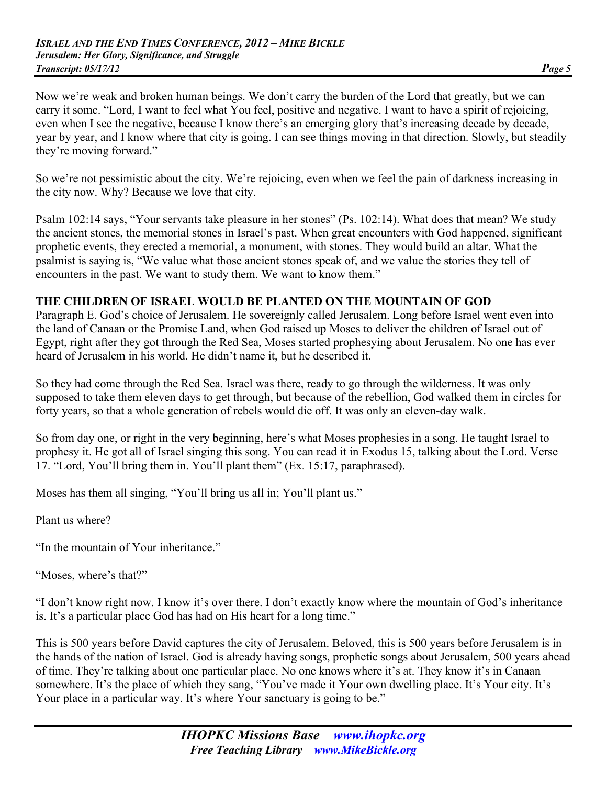Now we're weak and broken human beings. We don't carry the burden of the Lord that greatly, but we can carry it some. "Lord, I want to feel what You feel, positive and negative. I want to have a spirit of rejoicing, even when I see the negative, because I know there's an emerging glory that's increasing decade by decade, year by year, and I know where that city is going. I can see things moving in that direction. Slowly, but steadily they're moving forward."

So we're not pessimistic about the city. We're rejoicing, even when we feel the pain of darkness increasing in the city now. Why? Because we love that city.

Psalm 102:14 says, "Your servants take pleasure in her stones" (Ps. 102:14). What does that mean? We study the ancient stones, the memorial stones in Israel's past. When great encounters with God happened, significant prophetic events, they erected a memorial, a monument, with stones. They would build an altar. What the psalmist is saying is, "We value what those ancient stones speak of, and we value the stories they tell of encounters in the past. We want to study them. We want to know them."

#### **THE CHILDREN OF ISRAEL WOULD BE PLANTED ON THE MOUNTAIN OF GOD**

Paragraph E. God's choice of Jerusalem. He sovereignly called Jerusalem. Long before Israel went even into the land of Canaan or the Promise Land, when God raised up Moses to deliver the children of Israel out of Egypt, right after they got through the Red Sea, Moses started prophesying about Jerusalem. No one has ever heard of Jerusalem in his world. He didn't name it, but he described it.

So they had come through the Red Sea. Israel was there, ready to go through the wilderness. It was only supposed to take them eleven days to get through, but because of the rebellion, God walked them in circles for forty years, so that a whole generation of rebels would die off. It was only an eleven-day walk.

So from day one, or right in the very beginning, here's what Moses prophesies in a song. He taught Israel to prophesy it. He got all of Israel singing this song. You can read it in Exodus 15, talking about the Lord. Verse 17. "Lord, You'll bring them in. You'll plant them" (Ex. 15:17, paraphrased).

Moses has them all singing, "You'll bring us all in; You'll plant us."

Plant us where?

"In the mountain of Your inheritance."

"Moses, where's that?"

"I don't know right now. I know it's over there. I don't exactly know where the mountain of God's inheritance is. It's a particular place God has had on His heart for a long time."

This is 500 years before David captures the city of Jerusalem. Beloved, this is 500 years before Jerusalem is in the hands of the nation of Israel. God is already having songs, prophetic songs about Jerusalem, 500 years ahead of time. They're talking about one particular place. No one knows where it's at. They know it's in Canaan somewhere. It's the place of which they sang, "You've made it Your own dwelling place. It's Your city. It's Your place in a particular way. It's where Your sanctuary is going to be."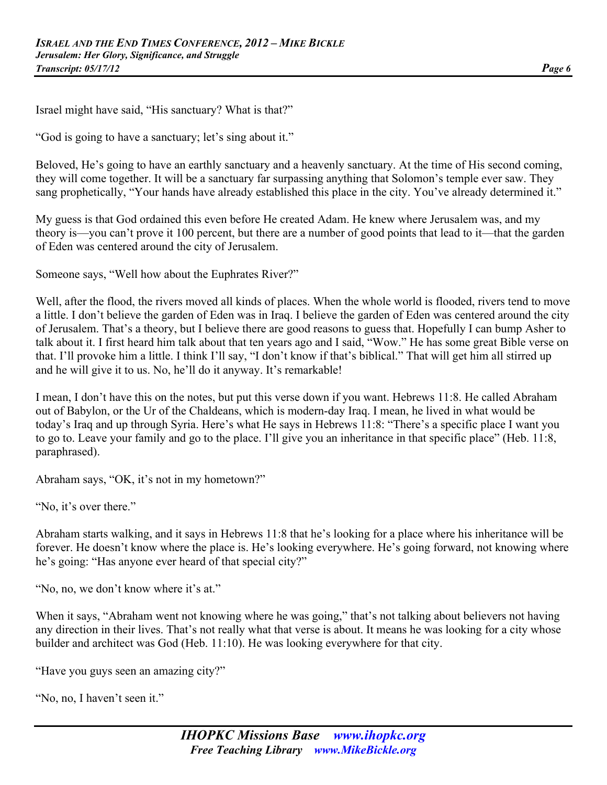Israel might have said, "His sanctuary? What is that?"

"God is going to have a sanctuary; let's sing about it."

Beloved, He's going to have an earthly sanctuary and a heavenly sanctuary. At the time of His second coming, they will come together. It will be a sanctuary far surpassing anything that Solomon's temple ever saw. They sang prophetically, "Your hands have already established this place in the city. You've already determined it."

My guess is that God ordained this even before He created Adam. He knew where Jerusalem was, and my theory is—you can't prove it 100 percent, but there are a number of good points that lead to it—that the garden of Eden was centered around the city of Jerusalem.

Someone says, "Well how about the Euphrates River?"

Well, after the flood, the rivers moved all kinds of places. When the whole world is flooded, rivers tend to move a little. I don't believe the garden of Eden was in Iraq. I believe the garden of Eden was centered around the city of Jerusalem. That's a theory, but I believe there are good reasons to guess that. Hopefully I can bump Asher to talk about it. I first heard him talk about that ten years ago and I said, "Wow." He has some great Bible verse on that. I'll provoke him a little. I think I'll say, "I don't know if that's biblical." That will get him all stirred up and he will give it to us. No, he'll do it anyway. It's remarkable!

I mean, I don't have this on the notes, but put this verse down if you want. Hebrews 11:8. He called Abraham out of Babylon, or the Ur of the Chaldeans, which is modern-day Iraq. I mean, he lived in what would be today's Iraq and up through Syria. Here's what He says in Hebrews 11:8: "There's a specific place I want you to go to. Leave your family and go to the place. I'll give you an inheritance in that specific place" (Heb. 11:8, paraphrased).

Abraham says, "OK, it's not in my hometown?"

"No, it's over there."

Abraham starts walking, and it says in Hebrews 11:8 that he's looking for a place where his inheritance will be forever. He doesn't know where the place is. He's looking everywhere. He's going forward, not knowing where he's going: "Has anyone ever heard of that special city?"

"No, no, we don't know where it's at."

When it says, "Abraham went not knowing where he was going," that's not talking about believers not having any direction in their lives. That's not really what that verse is about. It means he was looking for a city whose builder and architect was God (Heb. 11:10). He was looking everywhere for that city.

"Have you guys seen an amazing city?"

"No, no, I haven't seen it."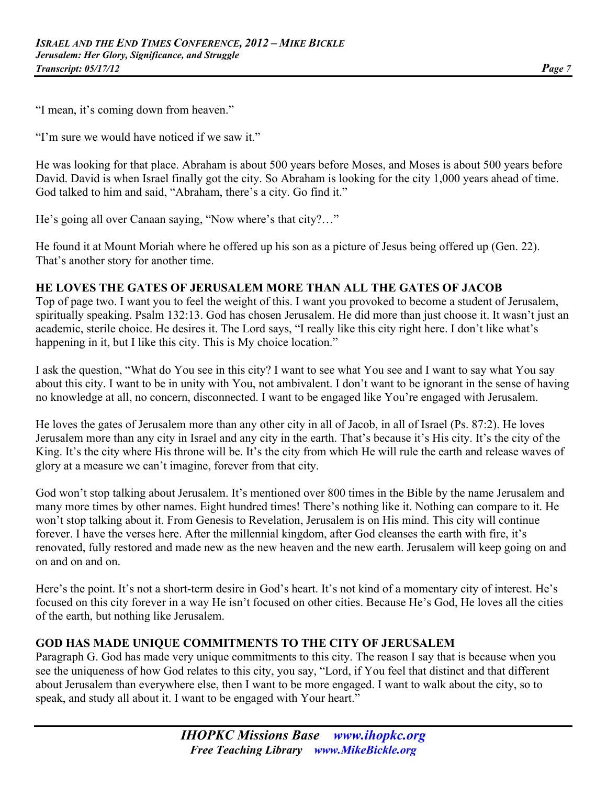"I mean, it's coming down from heaven."

"I'm sure we would have noticed if we saw it."

He was looking for that place. Abraham is about 500 years before Moses, and Moses is about 500 years before David. David is when Israel finally got the city. So Abraham is looking for the city 1,000 years ahead of time. God talked to him and said, "Abraham, there's a city. Go find it."

He's going all over Canaan saying, "Now where's that city?…"

He found it at Mount Moriah where he offered up his son as a picture of Jesus being offered up (Gen. 22). That's another story for another time.

#### **HE LOVES THE GATES OF JERUSALEM MORE THAN ALL THE GATES OF JACOB**

Top of page two. I want you to feel the weight of this. I want you provoked to become a student of Jerusalem, spiritually speaking. Psalm 132:13. God has chosen Jerusalem. He did more than just choose it. It wasn't just an academic, sterile choice. He desires it. The Lord says, "I really like this city right here. I don't like what's happening in it, but I like this city. This is My choice location."

I ask the question, "What do You see in this city? I want to see what You see and I want to say what You say about this city. I want to be in unity with You, not ambivalent. I don't want to be ignorant in the sense of having no knowledge at all, no concern, disconnected. I want to be engaged like You're engaged with Jerusalem.

He loves the gates of Jerusalem more than any other city in all of Jacob, in all of Israel (Ps. 87:2). He loves Jerusalem more than any city in Israel and any city in the earth. That's because it's His city. It's the city of the King. It's the city where His throne will be. It's the city from which He will rule the earth and release waves of glory at a measure we can't imagine, forever from that city.

God won't stop talking about Jerusalem. It's mentioned over 800 times in the Bible by the name Jerusalem and many more times by other names. Eight hundred times! There's nothing like it. Nothing can compare to it. He won't stop talking about it. From Genesis to Revelation, Jerusalem is on His mind. This city will continue forever. I have the verses here. After the millennial kingdom, after God cleanses the earth with fire, it's renovated, fully restored and made new as the new heaven and the new earth. Jerusalem will keep going on and on and on and on.

Here's the point. It's not a short-term desire in God's heart. It's not kind of a momentary city of interest. He's focused on this city forever in a way He isn't focused on other cities. Because He's God, He loves all the cities of the earth, but nothing like Jerusalem.

#### **GOD HAS MADE UNIQUE COMMITMENTS TO THE CITY OF JERUSALEM**

Paragraph G. God has made very unique commitments to this city. The reason I say that is because when you see the uniqueness of how God relates to this city, you say, "Lord, if You feel that distinct and that different about Jerusalem than everywhere else, then I want to be more engaged. I want to walk about the city, so to speak, and study all about it. I want to be engaged with Your heart."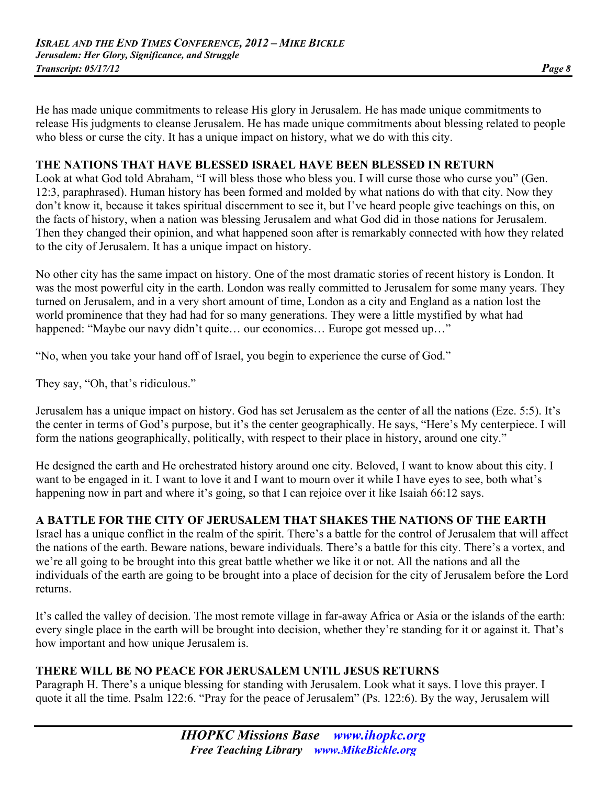He has made unique commitments to release His glory in Jerusalem. He has made unique commitments to release His judgments to cleanse Jerusalem. He has made unique commitments about blessing related to people who bless or curse the city. It has a unique impact on history, what we do with this city.

#### **THE NATIONS THAT HAVE BLESSED ISRAEL HAVE BEEN BLESSED IN RETURN**

Look at what God told Abraham, "I will bless those who bless you. I will curse those who curse you" (Gen. 12:3, paraphrased). Human history has been formed and molded by what nations do with that city. Now they don't know it, because it takes spiritual discernment to see it, but I've heard people give teachings on this, on the facts of history, when a nation was blessing Jerusalem and what God did in those nations for Jerusalem. Then they changed their opinion, and what happened soon after is remarkably connected with how they related to the city of Jerusalem. It has a unique impact on history.

No other city has the same impact on history. One of the most dramatic stories of recent history is London. It was the most powerful city in the earth. London was really committed to Jerusalem for some many years. They turned on Jerusalem, and in a very short amount of time, London as a city and England as a nation lost the world prominence that they had had for so many generations. They were a little mystified by what had happened: "Maybe our navy didn't quite... our economics... Europe got messed up..."

"No, when you take your hand off of Israel, you begin to experience the curse of God."

They say, "Oh, that's ridiculous."

Jerusalem has a unique impact on history. God has set Jerusalem as the center of all the nations (Eze. 5:5). It's the center in terms of God's purpose, but it's the center geographically. He says, "Here's My centerpiece. I will form the nations geographically, politically, with respect to their place in history, around one city."

He designed the earth and He orchestrated history around one city. Beloved, I want to know about this city. I want to be engaged in it. I want to love it and I want to mourn over it while I have eyes to see, both what's happening now in part and where it's going, so that I can rejoice over it like Isaiah 66:12 says.

# **A BATTLE FOR THE CITY OF JERUSALEM THAT SHAKES THE NATIONS OF THE EARTH**

Israel has a unique conflict in the realm of the spirit. There's a battle for the control of Jerusalem that will affect the nations of the earth. Beware nations, beware individuals. There's a battle for this city. There's a vortex, and we're all going to be brought into this great battle whether we like it or not. All the nations and all the individuals of the earth are going to be brought into a place of decision for the city of Jerusalem before the Lord returns.

It's called the valley of decision. The most remote village in far-away Africa or Asia or the islands of the earth: every single place in the earth will be brought into decision, whether they're standing for it or against it. That's how important and how unique Jerusalem is.

# **THERE WILL BE NO PEACE FOR JERUSALEM UNTIL JESUS RETURNS**

Paragraph H. There's a unique blessing for standing with Jerusalem. Look what it says. I love this prayer. I quote it all the time. Psalm 122:6. "Pray for the peace of Jerusalem" (Ps. 122:6). By the way, Jerusalem will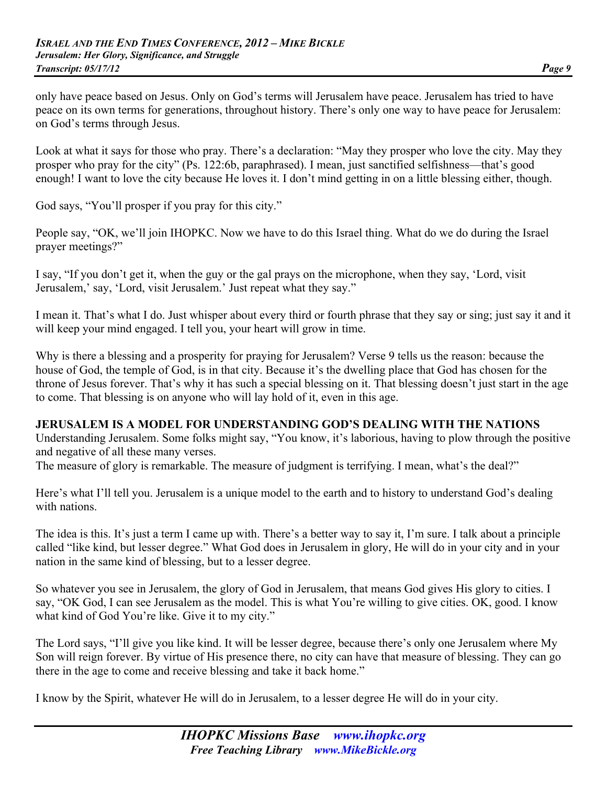only have peace based on Jesus. Only on God's terms will Jerusalem have peace. Jerusalem has tried to have peace on its own terms for generations, throughout history. There's only one way to have peace for Jerusalem: on God's terms through Jesus.

Look at what it says for those who pray. There's a declaration: "May they prosper who love the city. May they prosper who pray for the city" (Ps. 122:6b, paraphrased). I mean, just sanctified selfishness—that's good enough! I want to love the city because He loves it. I don't mind getting in on a little blessing either, though.

God says, "You'll prosper if you pray for this city."

People say, "OK, we'll join IHOPKC. Now we have to do this Israel thing. What do we do during the Israel prayer meetings?"

I say, "If you don't get it, when the guy or the gal prays on the microphone, when they say, 'Lord, visit Jerusalem,' say, 'Lord, visit Jerusalem.' Just repeat what they say."

I mean it. That's what I do. Just whisper about every third or fourth phrase that they say or sing; just say it and it will keep your mind engaged. I tell you, your heart will grow in time.

Why is there a blessing and a prosperity for praying for Jerusalem? Verse 9 tells us the reason: because the house of God, the temple of God, is in that city. Because it's the dwelling place that God has chosen for the throne of Jesus forever. That's why it has such a special blessing on it. That blessing doesn't just start in the age to come. That blessing is on anyone who will lay hold of it, even in this age.

### **JERUSALEM IS A MODEL FOR UNDERSTANDING GOD'S DEALING WITH THE NATIONS**

Understanding Jerusalem. Some folks might say, "You know, it's laborious, having to plow through the positive and negative of all these many verses.

The measure of glory is remarkable. The measure of judgment is terrifying. I mean, what's the deal?"

Here's what I'll tell you. Jerusalem is a unique model to the earth and to history to understand God's dealing with nations.

The idea is this. It's just a term I came up with. There's a better way to say it, I'm sure. I talk about a principle called "like kind, but lesser degree." What God does in Jerusalem in glory, He will do in your city and in your nation in the same kind of blessing, but to a lesser degree.

So whatever you see in Jerusalem, the glory of God in Jerusalem, that means God gives His glory to cities. I say, "OK God, I can see Jerusalem as the model. This is what You're willing to give cities. OK, good. I know what kind of God You're like. Give it to my city."

The Lord says, "I'll give you like kind. It will be lesser degree, because there's only one Jerusalem where My Son will reign forever. By virtue of His presence there, no city can have that measure of blessing. They can go there in the age to come and receive blessing and take it back home."

I know by the Spirit, whatever He will do in Jerusalem, to a lesser degree He will do in your city.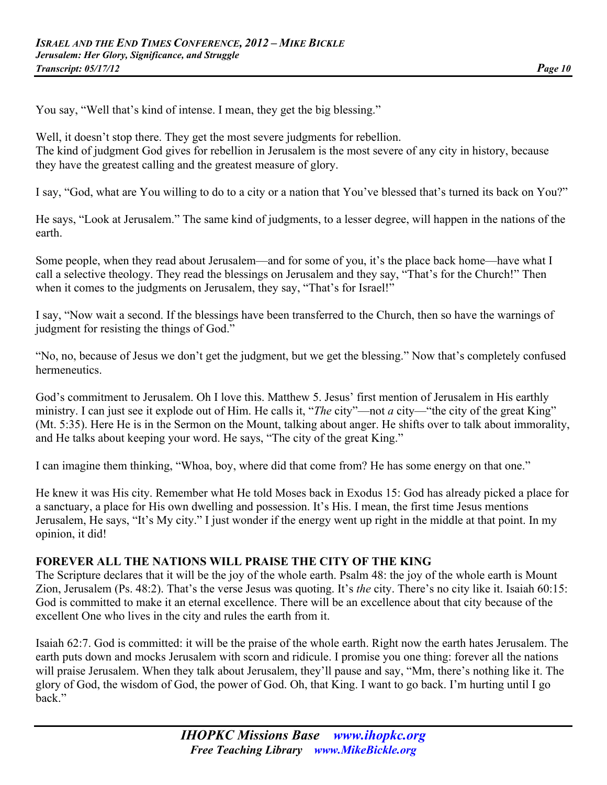You say, "Well that's kind of intense. I mean, they get the big blessing."

Well, it doesn't stop there. They get the most severe judgments for rebellion. The kind of judgment God gives for rebellion in Jerusalem is the most severe of any city in history, because they have the greatest calling and the greatest measure of glory.

I say, "God, what are You willing to do to a city or a nation that You've blessed that's turned its back on You?"

He says, "Look at Jerusalem." The same kind of judgments, to a lesser degree, will happen in the nations of the earth.

Some people, when they read about Jerusalem—and for some of you, it's the place back home—have what I call a selective theology. They read the blessings on Jerusalem and they say, "That's for the Church!" Then when it comes to the judgments on Jerusalem, they say, "That's for Israel!"

I say, "Now wait a second. If the blessings have been transferred to the Church, then so have the warnings of judgment for resisting the things of God."

"No, no, because of Jesus we don't get the judgment, but we get the blessing." Now that's completely confused hermeneutics.

God's commitment to Jerusalem. Oh I love this. Matthew 5. Jesus' first mention of Jerusalem in His earthly ministry. I can just see it explode out of Him. He calls it, "*The* city"—not *a* city—"the city of the great King" (Mt. 5:35). Here He is in the Sermon on the Mount, talking about anger. He shifts over to talk about immorality, and He talks about keeping your word. He says, "The city of the great King."

I can imagine them thinking, "Whoa, boy, where did that come from? He has some energy on that one."

He knew it was His city. Remember what He told Moses back in Exodus 15: God has already picked a place for a sanctuary, a place for His own dwelling and possession. It's His. I mean, the first time Jesus mentions Jerusalem, He says, "It's My city." I just wonder if the energy went up right in the middle at that point. In my opinion, it did!

#### **FOREVER ALL THE NATIONS WILL PRAISE THE CITY OF THE KING**

The Scripture declares that it will be the joy of the whole earth. Psalm 48: the joy of the whole earth is Mount Zion, Jerusalem (Ps. 48:2). That's the verse Jesus was quoting. It's *the* city. There's no city like it. Isaiah 60:15: God is committed to make it an eternal excellence. There will be an excellence about that city because of the excellent One who lives in the city and rules the earth from it.

Isaiah 62:7. God is committed: it will be the praise of the whole earth. Right now the earth hates Jerusalem. The earth puts down and mocks Jerusalem with scorn and ridicule. I promise you one thing: forever all the nations will praise Jerusalem. When they talk about Jerusalem, they'll pause and say, "Mm, there's nothing like it. The glory of God, the wisdom of God, the power of God. Oh, that King. I want to go back. I'm hurting until I go back."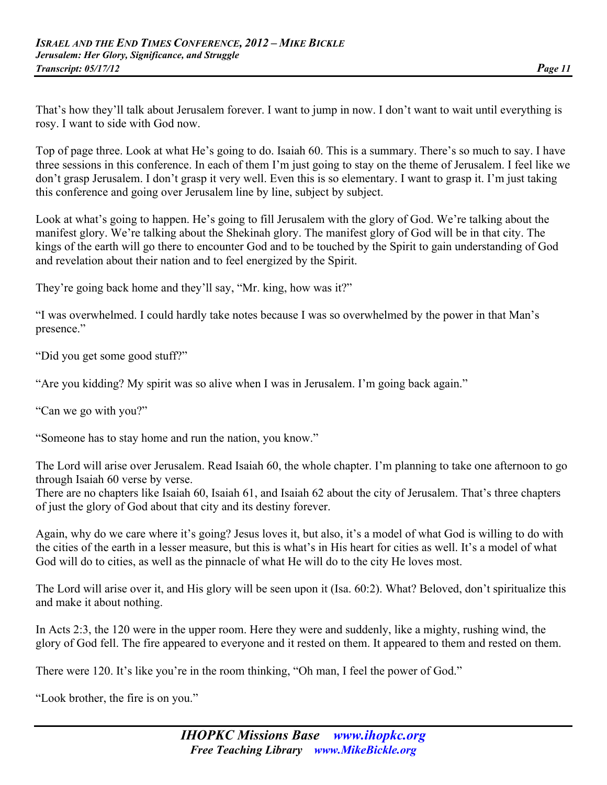That's how they'll talk about Jerusalem forever. I want to jump in now. I don't want to wait until everything is rosy. I want to side with God now.

Top of page three. Look at what He's going to do. Isaiah 60. This is a summary. There's so much to say. I have three sessions in this conference. In each of them I'm just going to stay on the theme of Jerusalem. I feel like we don't grasp Jerusalem. I don't grasp it very well. Even this is so elementary. I want to grasp it. I'm just taking this conference and going over Jerusalem line by line, subject by subject.

Look at what's going to happen. He's going to fill Jerusalem with the glory of God. We're talking about the manifest glory. We're talking about the Shekinah glory. The manifest glory of God will be in that city. The kings of the earth will go there to encounter God and to be touched by the Spirit to gain understanding of God and revelation about their nation and to feel energized by the Spirit.

They're going back home and they'll say, "Mr. king, how was it?"

"I was overwhelmed. I could hardly take notes because I was so overwhelmed by the power in that Man's presence."

"Did you get some good stuff?"

"Are you kidding? My spirit was so alive when I was in Jerusalem. I'm going back again."

"Can we go with you?"

"Someone has to stay home and run the nation, you know."

The Lord will arise over Jerusalem. Read Isaiah 60, the whole chapter. I'm planning to take one afternoon to go through Isaiah 60 verse by verse.

There are no chapters like Isaiah 60, Isaiah 61, and Isaiah 62 about the city of Jerusalem. That's three chapters of just the glory of God about that city and its destiny forever.

Again, why do we care where it's going? Jesus loves it, but also, it's a model of what God is willing to do with the cities of the earth in a lesser measure, but this is what's in His heart for cities as well. It's a model of what God will do to cities, as well as the pinnacle of what He will do to the city He loves most.

The Lord will arise over it, and His glory will be seen upon it (Isa. 60:2). What? Beloved, don't spiritualize this and make it about nothing.

In Acts 2:3, the 120 were in the upper room. Here they were and suddenly, like a mighty, rushing wind, the glory of God fell. The fire appeared to everyone and it rested on them. It appeared to them and rested on them.

There were 120. It's like you're in the room thinking, "Oh man, I feel the power of God."

"Look brother, the fire is on you."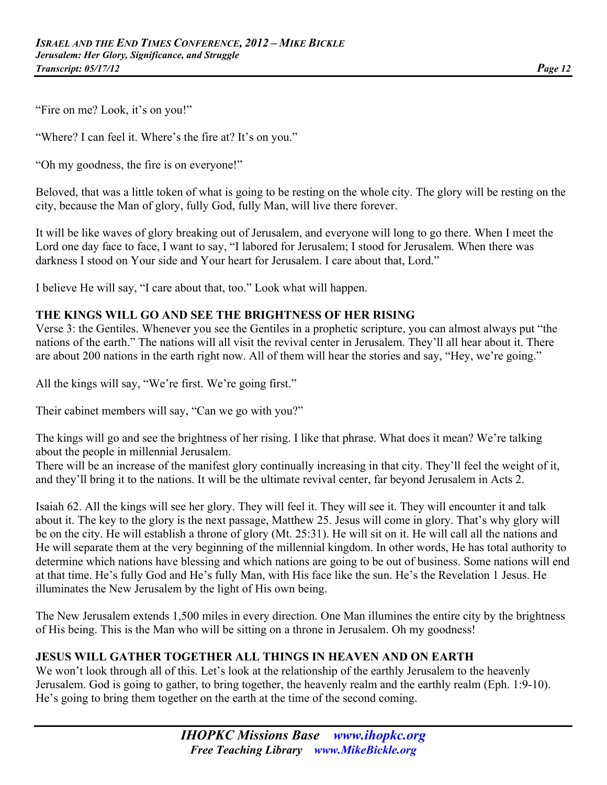"Fire on me? Look, it's on you!"

"Where? I can feel it. Where's the fire at? It's on you."

"Oh my goodness, the fire is on everyone!"

Beloved, that was a little token of what is going to be resting on the whole city. The glory will be resting on the city, because the Man of glory, fully God, fully Man, will live there forever.

It will be like waves of glory breaking out of Jerusalem, and everyone will long to go there. When I meet the Lord one day face to face, I want to say, "I labored for Jerusalem; I stood for Jerusalem. When there was darkness I stood on Your side and Your heart for Jerusalem. I care about that, Lord."

I believe He will say, "I care about that, too." Look what will happen.

#### **THE KINGS WILL GO AND SEE THE BRIGHTNESS OF HER RISING**

Verse 3: the Gentiles. Whenever you see the Gentiles in a prophetic scripture, you can almost always put "the nations of the earth." The nations will all visit the revival center in Jerusalem. They'll all hear about it. There are about 200 nations in the earth right now. All of them will hear the stories and say, "Hey, we're going."

All the kings will say, "We're first. We're going first."

Their cabinet members will say, "Can we go with you?"

The kings will go and see the brightness of her rising. I like that phrase. What does it mean? We're talking about the people in millennial Jerusalem.

There will be an increase of the manifest glory continually increasing in that city. They'll feel the weight of it, and they'll bring it to the nations. It will be the ultimate revival center, far beyond Jerusalem in Acts 2.

Isaiah 62. All the kings will see her glory. They will feel it. They will see it. They will encounter it and talk about it. The key to the glory is the next passage, Matthew 25. Jesus will come in glory. That's why glory will be on the city. He will establish a throne of glory (Mt. 25:31). He will sit on it. He will call all the nations and He will separate them at the very beginning of the millennial kingdom. In other words, He has total authority to determine which nations have blessing and which nations are going to be out of business. Some nations will end at that time. He's fully God and He's fully Man, with His face like the sun. He's the Revelation 1 Jesus. He illuminates the New Jerusalem by the light of His own being.

The New Jerusalem extends 1,500 miles in every direction. One Man illumines the entire city by the brightness of His being. This is the Man who will be sitting on a throne in Jerusalem. Oh my goodness!

#### **JESUS WILL GATHER TOGETHER ALL THINGS IN HEAVEN AND ON EARTH**

We won't look through all of this. Let's look at the relationship of the earthly Jerusalem to the heavenly Jerusalem. God is going to gather, to bring together, the heavenly realm and the earthly realm (Eph. 1:9-10). He's going to bring them together on the earth at the time of the second coming.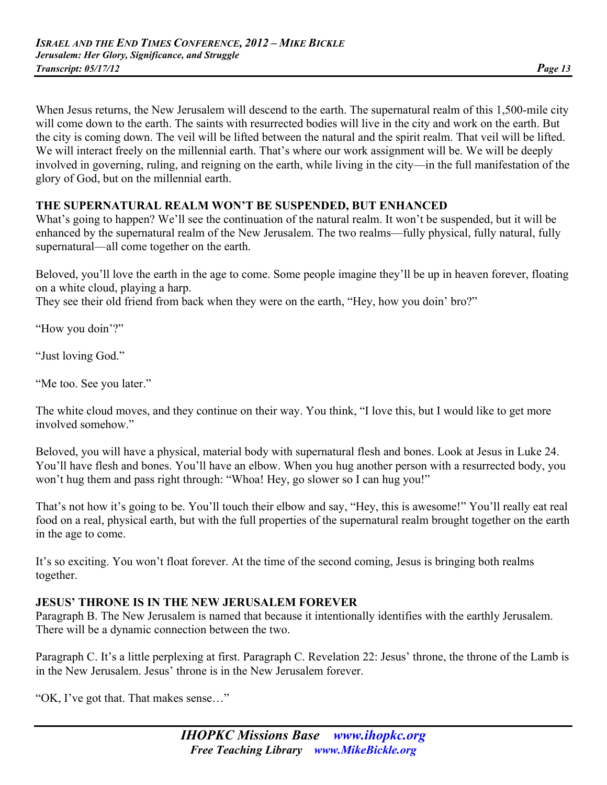When Jesus returns, the New Jerusalem will descend to the earth. The supernatural realm of this 1,500-mile city will come down to the earth. The saints with resurrected bodies will live in the city and work on the earth. But the city is coming down. The veil will be lifted between the natural and the spirit realm. That veil will be lifted. We will interact freely on the millennial earth. That's where our work assignment will be. We will be deeply involved in governing, ruling, and reigning on the earth, while living in the city—in the full manifestation of the glory of God, but on the millennial earth.

# **THE SUPERNATURAL REALM WON'T BE SUSPENDED, BUT ENHANCED**

What's going to happen? We'll see the continuation of the natural realm. It won't be suspended, but it will be enhanced by the supernatural realm of the New Jerusalem. The two realms—fully physical, fully natural, fully supernatural—all come together on the earth.

Beloved, you'll love the earth in the age to come. Some people imagine they'll be up in heaven forever, floating on a white cloud, playing a harp.

They see their old friend from back when they were on the earth, "Hey, how you doin' bro?"

"How you doin'?"

"Just loving God."

"Me too. See you later."

The white cloud moves, and they continue on their way. You think, "I love this, but I would like to get more involved somehow."

Beloved, you will have a physical, material body with supernatural flesh and bones. Look at Jesus in Luke 24. You'll have flesh and bones. You'll have an elbow. When you hug another person with a resurrected body, you won't hug them and pass right through: "Whoa! Hey, go slower so I can hug you!"

That's not how it's going to be. You'll touch their elbow and say, "Hey, this is awesome!" You'll really eat real food on a real, physical earth, but with the full properties of the supernatural realm brought together on the earth in the age to come.

It's so exciting. You won't float forever. At the time of the second coming, Jesus is bringing both realms together.

#### **JESUS' THRONE IS IN THE NEW JERUSALEM FOREVER**

Paragraph B. The New Jerusalem is named that because it intentionally identifies with the earthly Jerusalem. There will be a dynamic connection between the two.

Paragraph C. It's a little perplexing at first. Paragraph C. Revelation 22: Jesus' throne, the throne of the Lamb is in the New Jerusalem. Jesus' throne is in the New Jerusalem forever.

"OK, I've got that. That makes sense…"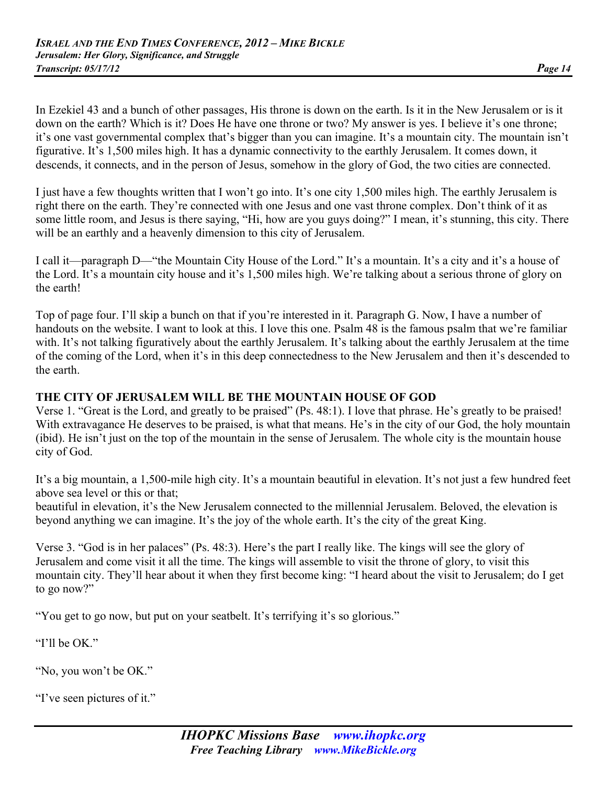In Ezekiel 43 and a bunch of other passages, His throne is down on the earth. Is it in the New Jerusalem or is it down on the earth? Which is it? Does He have one throne or two? My answer is yes. I believe it's one throne; it's one vast governmental complex that's bigger than you can imagine. It's a mountain city. The mountain isn't figurative. It's 1,500 miles high. It has a dynamic connectivity to the earthly Jerusalem. It comes down, it descends, it connects, and in the person of Jesus, somehow in the glory of God, the two cities are connected.

I just have a few thoughts written that I won't go into. It's one city 1,500 miles high. The earthly Jerusalem is right there on the earth. They're connected with one Jesus and one vast throne complex. Don't think of it as some little room, and Jesus is there saying, "Hi, how are you guys doing?" I mean, it's stunning, this city. There will be an earthly and a heavenly dimension to this city of Jerusalem.

I call it—paragraph D—"the Mountain City House of the Lord." It's a mountain. It's a city and it's a house of the Lord. It's a mountain city house and it's 1,500 miles high. We're talking about a serious throne of glory on the earth!

Top of page four. I'll skip a bunch on that if you're interested in it. Paragraph G. Now, I have a number of handouts on the website. I want to look at this. I love this one. Psalm 48 is the famous psalm that we're familiar with. It's not talking figuratively about the earthly Jerusalem. It's talking about the earthly Jerusalem at the time of the coming of the Lord, when it's in this deep connectedness to the New Jerusalem and then it's descended to the earth.

#### **THE CITY OF JERUSALEM WILL BE THE MOUNTAIN HOUSE OF GOD**

Verse 1. "Great is the Lord, and greatly to be praised" (Ps. 48:1). I love that phrase. He's greatly to be praised! With extravagance He deserves to be praised, is what that means. He's in the city of our God, the holy mountain (ibid). He isn't just on the top of the mountain in the sense of Jerusalem. The whole city is the mountain house city of God.

It's a big mountain, a 1,500-mile high city. It's a mountain beautiful in elevation. It's not just a few hundred feet above sea level or this or that;

beautiful in elevation, it's the New Jerusalem connected to the millennial Jerusalem. Beloved, the elevation is beyond anything we can imagine. It's the joy of the whole earth. It's the city of the great King.

Verse 3. "God is in her palaces" (Ps. 48:3). Here's the part I really like. The kings will see the glory of Jerusalem and come visit it all the time. The kings will assemble to visit the throne of glory, to visit this mountain city. They'll hear about it when they first become king: "I heard about the visit to Jerusalem; do I get to go now?"

"You get to go now, but put on your seatbelt. It's terrifying it's so glorious."

"I'll be OK."

"No, you won't be OK."

"I've seen pictures of it."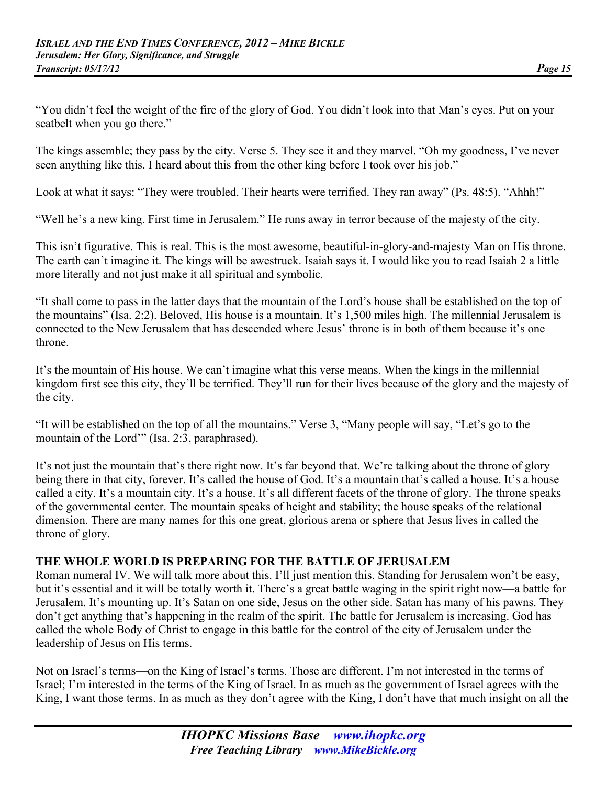"You didn't feel the weight of the fire of the glory of God. You didn't look into that Man's eyes. Put on your seatbelt when you go there."

The kings assemble; they pass by the city. Verse 5. They see it and they marvel. "Oh my goodness, I've never seen anything like this. I heard about this from the other king before I took over his job."

Look at what it says: "They were troubled. Their hearts were terrified. They ran away" (Ps. 48:5). "Ahhh!"

"Well he's a new king. First time in Jerusalem." He runs away in terror because of the majesty of the city.

This isn't figurative. This is real. This is the most awesome, beautiful-in-glory-and-majesty Man on His throne. The earth can't imagine it. The kings will be awestruck. Isaiah says it. I would like you to read Isaiah 2 a little more literally and not just make it all spiritual and symbolic.

"It shall come to pass in the latter days that the mountain of the Lord's house shall be established on the top of the mountains" (Isa. 2:2). Beloved, His house is a mountain. It's 1,500 miles high. The millennial Jerusalem is connected to the New Jerusalem that has descended where Jesus' throne is in both of them because it's one throne.

It's the mountain of His house. We can't imagine what this verse means. When the kings in the millennial kingdom first see this city, they'll be terrified. They'll run for their lives because of the glory and the majesty of the city.

"It will be established on the top of all the mountains." Verse 3, "Many people will say, "Let's go to the mountain of the Lord'" (Isa. 2:3, paraphrased).

It's not just the mountain that's there right now. It's far beyond that. We're talking about the throne of glory being there in that city, forever. It's called the house of God. It's a mountain that's called a house. It's a house called a city. It's a mountain city. It's a house. It's all different facets of the throne of glory. The throne speaks of the governmental center. The mountain speaks of height and stability; the house speaks of the relational dimension. There are many names for this one great, glorious arena or sphere that Jesus lives in called the throne of glory.

#### **THE WHOLE WORLD IS PREPARING FOR THE BATTLE OF JERUSALEM**

Roman numeral IV. We will talk more about this. I'll just mention this. Standing for Jerusalem won't be easy, but it's essential and it will be totally worth it. There's a great battle waging in the spirit right now—a battle for Jerusalem. It's mounting up. It's Satan on one side, Jesus on the other side. Satan has many of his pawns. They don't get anything that's happening in the realm of the spirit. The battle for Jerusalem is increasing. God has called the whole Body of Christ to engage in this battle for the control of the city of Jerusalem under the leadership of Jesus on His terms.

Not on Israel's terms—on the King of Israel's terms. Those are different. I'm not interested in the terms of Israel; I'm interested in the terms of the King of Israel. In as much as the government of Israel agrees with the King, I want those terms. In as much as they don't agree with the King, I don't have that much insight on all the